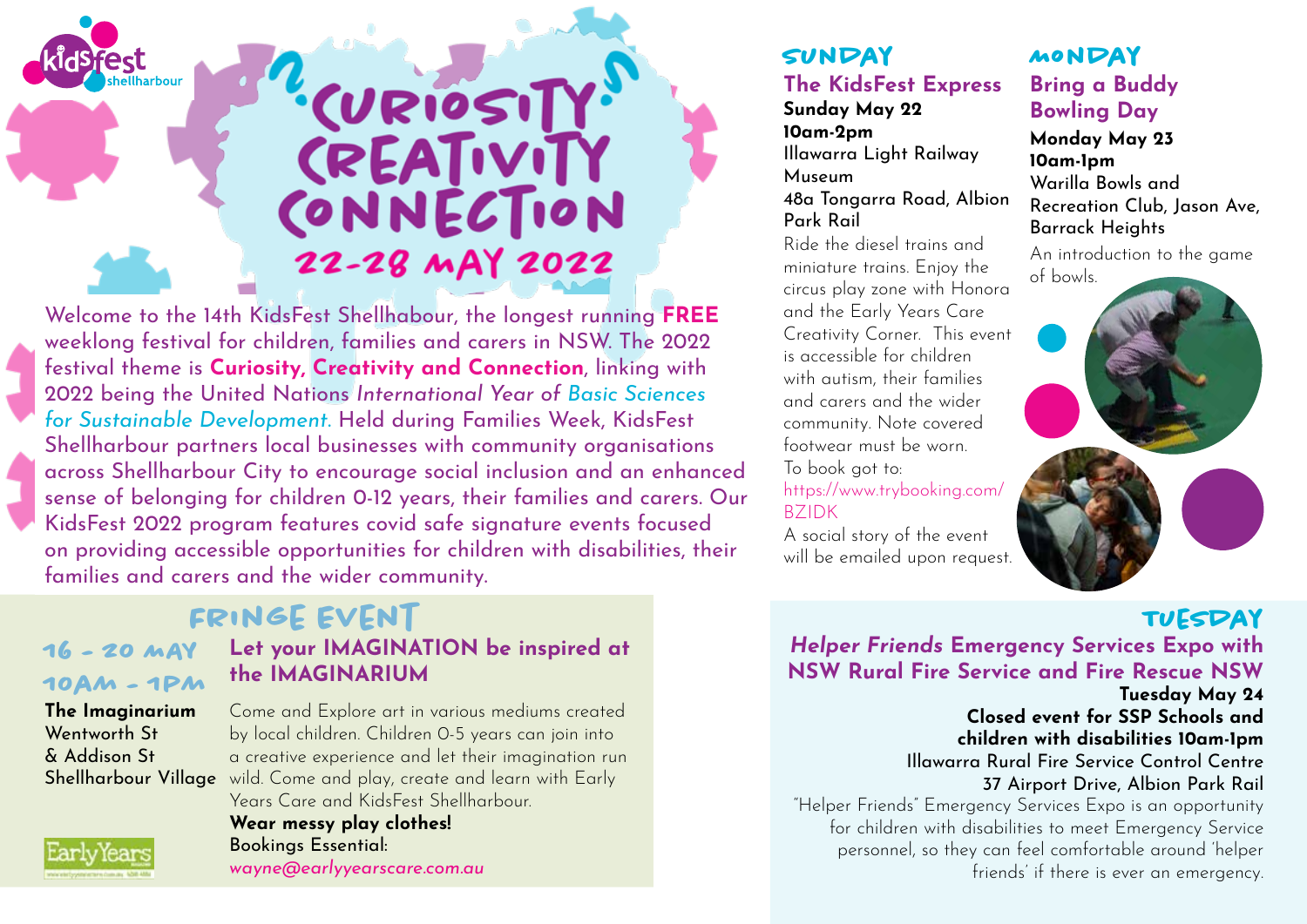

# CURIOSITY CREATIVITY CONNECTION 22-28 MAY 2022

Welcome to the 14th KidsFest Shellhabour, the longest running **FREE** weeklong festival for children, families and carers in NSW. The 2022 festival theme is **Curiosity, Creativity and Connection**, linking with 2022 being the United Nations *International Year of Basic Sciences for Sustainable Development*. Held during Families Week, KidsFest Shellharbour partners local businesses with community organisations across Shellharbour City to encourage social inclusion and an enhanced sense of belonging for children 0-12 years, their families and carers. Our KidsFest 2022 program features covid safe signature events focused on providing accessible opportunities for children with disabilities, their families and carers and the wider community.

## **Fringe Event**

**16 - 20 MAY 10am - 1pm**

### **Let your IMAGINATION be inspired at the IMAGINARIUM**

**The Imaginarium** Wentworth St & Addison St

#### Shellharbour Village wild. Come and play, create and learn with Early Come and Explore art in various mediums created by local children. Children 0-5 years can join into a creative experience and let their imagination run Years Care and KidsFest Shellharbour. **Wear messy play clothes!** Bookings Essential: *wayne@earlyyearscare.com.au*

#### **SUNDAY The KidsFest Express**

#### **Sunday May 22 10am-2pm** Illawarra Light Railway Museum 48a Tongarra Road, Albion Park Rail

Ride the diesel trains and miniature trains. Enjoy the circus play zone with Honora and the Early Years Care Creativity Corner. This event is accessible for children with autism, their families and carers and the wider community. Note covered footwear must be worn. To book got to: https://www.trybooking.com/ BZIDK

A social story of the event will be emailed upon request.

#### **Bring a Buddy Bowling Day Monday May 23 10am-1pm** Warilla Bowls and Recreation Club, Jason Ave, Barrack Heights **Monday**

An introduction to the game of bowls.



## **Tuesday**

*Helper Friends* **Emergency Services Expo with NSW Rural Fire Service and Fire Rescue NSW Tuesday May 24 Closed event for SSP Schools and children with disabilities 10am-1pm** Illawarra Rural Fire Service Control Centre 37 Airport Drive, Albion Park Rail "Helper Friends" Emergency Services Expo is an opportunity for children with disabilities to meet Emergency Service personnel, so they can feel comfortable around 'helper friends' if there is ever an emergency.